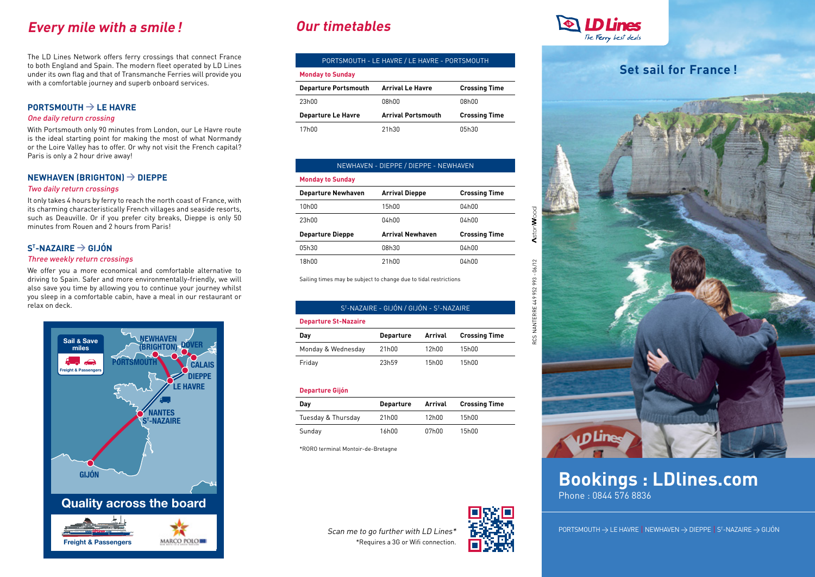# **Every mile with a smile! Our timetables**

The LD Lines Network offers ferry crossings that connect France to both England and Spain. The modern fleet operated by LD Lines under its own flag and that of Transmanche Ferries will provide you with a comfortable journey and superb onboard services.

## **Portsmouth > Le Havre**

### One daily return crossing

With Portsmouth only 90 minutes from London, our Le Havre route is the ideal starting point for making the most of what Normandy or the Loire Valley has to offer. Or why not visit the French capital? Paris is only a 2 hour drive away!

## **Newhaven (Brighton) > Dieppe**

### Two daily return crossings

It only takes 4 hours by ferry to reach the north coast of France, with its charming characteristically French villages and seaside resorts, such as Deauville. Or if you prefer city breaks, Dieppe is only 50 minutes from Rouen and 2 hours from Paris!

## **St -Nazaire > Gijón**

### Three weekly return crossings

We offer you a more economical and comfortable alternative to driving to Spain. Safer and more environmentally-friendly, we will also save you time by allowing you to continue your journey whilst you sleep in a comfortable cabin, have a meal in our restaurant or relax on deck.



| PORTSMOUTH - LE HAVRE / LE HAVRE - PORTSMOUTH |                           |                      |  |  |  |
|-----------------------------------------------|---------------------------|----------------------|--|--|--|
| <b>Monday to Sunday</b>                       |                           |                      |  |  |  |
| <b>Departure Portsmouth</b>                   | <b>Arrival Le Havre</b>   | <b>Crossing Time</b> |  |  |  |
| 23h00                                         | 08h00                     | 08h00                |  |  |  |
| <b>Departure Le Havre</b>                     | <b>Arrival Portsmouth</b> | <b>Crossing Time</b> |  |  |  |
| 17h00                                         | 21h30                     | 05h30                |  |  |  |

| NEWHAVEN - DIEPPE / DIEPPE - NEWHAVEN |                         |                      |  |  |  |
|---------------------------------------|-------------------------|----------------------|--|--|--|
| <b>Monday to Sunday</b>               |                         |                      |  |  |  |
| <b>Departure Newhaven</b>             | <b>Arrival Dieppe</b>   | <b>Crossing Time</b> |  |  |  |
| 10 <sub>h00</sub>                     | 15h00                   | 04h00                |  |  |  |
| 23h00                                 | 04h00                   | 04h00                |  |  |  |
| <b>Departure Dieppe</b>               | <b>Arrival Newhaven</b> | <b>Crossing Time</b> |  |  |  |
| 05h30                                 | 08h30                   | 04h00                |  |  |  |
| 18h00                                 | 21h00                   | 04h00                |  |  |  |

Sailing times may be subject to change due to tidal restrictions

| S <sup>T</sup> -NAZAIRE - GIJON / GIJON - S <sup>T</sup> -NAZAIRE<br><b>Departure St-Nazaire</b> |       |       |       |  |
|--------------------------------------------------------------------------------------------------|-------|-------|-------|--|
|                                                                                                  |       |       |       |  |
| Monday & Wednesday                                                                               | 21h00 | 12h00 | 15h00 |  |
| Friday                                                                                           | 23h59 | 15h00 | 15h00 |  |

### **Departure Gijón**

| Day                | <b>Departure</b> | Arrival | <b>Crossing Time</b> |
|--------------------|------------------|---------|----------------------|
| Tuesday & Thursday | 21h00            | 12h00   | 15h00                |
| Sunday             | 16h00            | 07h00   | 15h00                |

\*RORO terminal Montoir-de-Bretagne





# **Set sail for France !**



# **Bookings : LDlines.com** Phone : 0844 576 8836

 $\mathsf{PORTSMOUTH} \to \mathsf{LE}\ \mathsf{HAVRE}\ \vert\ \mathsf{NEWHAVEN} \to \mathsf{DIEPPE}\ \vert\ \mathsf{S}^\intercal\text{-}\mathsf{NAZAIRE} \to \mathsf{GIJON}$ 

Scan me to go further with LD Lines\* \*Requires a 3G or Wifi connection.